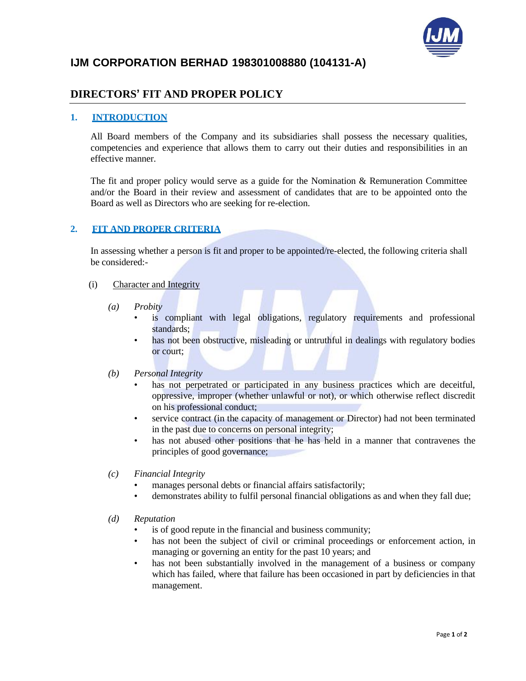

# **IJM CORPORATION BERHAD 198301008880 (104131-A)**

## **DIRECTORS' FIT AND PROPER POLICY**

#### **1. INTRODUCTION**

All Board members of the Company and its subsidiaries shall possess the necessary qualities, competencies and experience that allows them to carry out their duties and responsibilities in an effective manner.

The fit and proper policy would serve as a guide for the Nomination  $\&$  Remuneration Committee and/or the Board in their review and assessment of candidates that are to be appointed onto the Board as well as Directors who are seeking for re-election.

### **2. FIT AND PROPER CRITERIA**

In assessing whether a person is fit and proper to be appointed/re-elected, the following criteria shall be considered:-

- (i) Character and Integrity
	- *(a) Probity*
		- is compliant with legal obligations, regulatory requirements and professional standards;
		- has not been obstructive, misleading or untruthful in dealings with regulatory bodies or court;

#### *(b) Personal Integrity*

- has not perpetrated or participated in any business practices which are deceitful, oppressive, improper (whether unlawful or not), or which otherwise reflect discredit on his professional conduct;
- service contract (in the capacity of management or Director) had not been terminated in the past due to concerns on personal integrity;
- has not abused other positions that he has held in a manner that contravenes the principles of good governance;
- *(c) Financial Integrity*
	- manages personal debts or financial affairs satisfactorily;
	- demonstrates ability to fulfil personal financial obligations as and when they fall due;
- *(d) Reputation*
	- is of good repute in the financial and business community;
	- has not been the subject of civil or criminal proceedings or enforcement action, in managing or governing an entity for the past 10 years; and
	- has not been substantially involved in the management of a business or company which has failed, where that failure has been occasioned in part by deficiencies in that management.